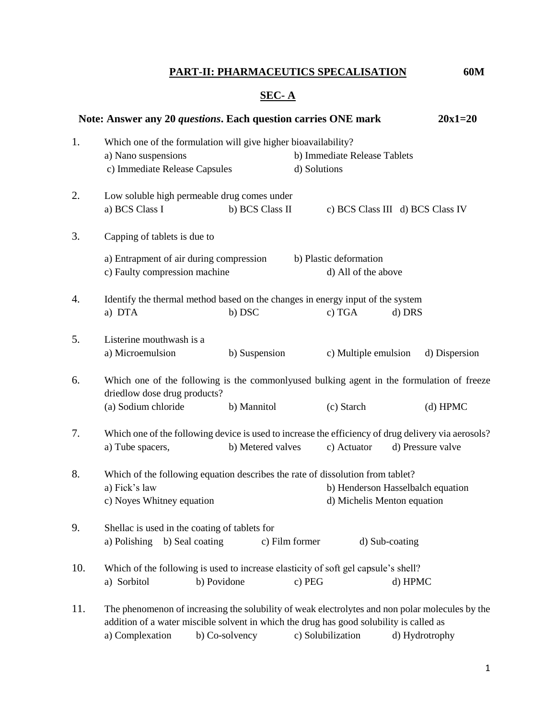# **PART-II: PHARMACEUTICS SPECALISATION 60M**

# **SEC- A**

|     | Note: Answer any 20 questions. Each question carries ONE mark                                                                                                                                                 |                 |                                              |                                               |                | $20x1=20$     |
|-----|---------------------------------------------------------------------------------------------------------------------------------------------------------------------------------------------------------------|-----------------|----------------------------------------------|-----------------------------------------------|----------------|---------------|
| 1.  | Which one of the formulation will give higher bioavailability?<br>a) Nano suspensions<br>c) Immediate Release Capsules                                                                                        |                 | b) Immediate Release Tablets<br>d) Solutions |                                               |                |               |
| 2.  | Low soluble high permeable drug comes under<br>a) BCS Class I                                                                                                                                                 | b) BCS Class II |                                              | c) BCS Class III d) BCS Class IV              |                |               |
| 3.  | Capping of tablets is due to                                                                                                                                                                                  |                 |                                              |                                               |                |               |
|     | a) Entrapment of air during compression<br>c) Faulty compression machine                                                                                                                                      |                 |                                              | b) Plastic deformation<br>d) All of the above |                |               |
| 4.  | Identify the thermal method based on the changes in energy input of the system<br>a) DTA                                                                                                                      | b) DSC          |                                              | c) TGA                                        | d) DRS         |               |
| 5.  | Listerine mouthwash is a<br>a) Microemulsion                                                                                                                                                                  | b) Suspension   |                                              | c) Multiple emulsion                          |                | d) Dispersion |
| 6.  | Which one of the following is the commonly used bulking agent in the formulation of freeze<br>driedlow dose drug products?                                                                                    |                 |                                              |                                               |                |               |
|     | (a) Sodium chloride                                                                                                                                                                                           | b) Mannitol     |                                              | (c) Starch                                    |                | $(d)$ HPMC    |
| 7.  | Which one of the following device is used to increase the efficiency of drug delivery via aerosols?<br>b) Metered valves<br>d) Pressure valve<br>a) Tube spacers,<br>c) Actuator                              |                 |                                              |                                               |                |               |
| 8.  | Which of the following equation describes the rate of dissolution from tablet?<br>a) Fick's law<br>b) Henderson Hasselbalch equation<br>c) Noyes Whitney equation<br>d) Michelis Menton equation              |                 |                                              |                                               |                |               |
| 9.  | Shellac is used in the coating of tablets for<br>a) Polishing<br>b) Seal coating<br>c) Film former<br>d) Sub-coating                                                                                          |                 |                                              |                                               |                |               |
| 10. | Which of the following is used to increase elasticity of soft gel capsule's shell?                                                                                                                            |                 |                                              |                                               |                |               |
|     | a) Sorbitol                                                                                                                                                                                                   | b) Povidone     | c) PEG                                       |                                               | d) HPMC        |               |
| 11. | The phenomenon of increasing the solubility of weak electrolytes and non polar molecules by the<br>addition of a water miscible solvent in which the drug has good solubility is called as<br>a) Complexation | b) Co-solvency  |                                              | c) Solubilization                             | d) Hydrotrophy |               |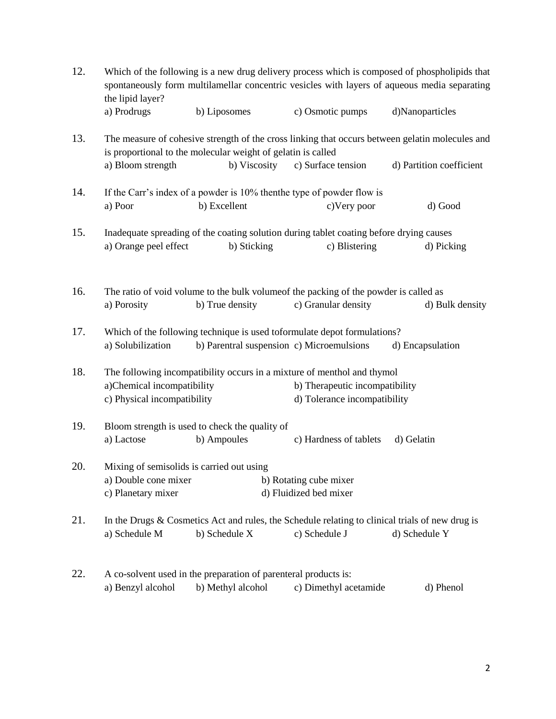| 12. | Which of the following is a new drug delivery process which is composed of phospholipids that<br>spontaneously form multilamellar concentric vesicles with layers of aqueous media separating<br>the lipid layer? |                                                                                                                                         |                                                                          |                          |  |  |
|-----|-------------------------------------------------------------------------------------------------------------------------------------------------------------------------------------------------------------------|-----------------------------------------------------------------------------------------------------------------------------------------|--------------------------------------------------------------------------|--------------------------|--|--|
|     | a) Prodrugs                                                                                                                                                                                                       | b) Liposomes                                                                                                                            | c) Osmotic pumps                                                         | d)Nanoparticles          |  |  |
| 13. | The measure of cohesive strength of the cross linking that occurs between gelatin molecules and<br>is proportional to the molecular weight of gelatin is called                                                   |                                                                                                                                         |                                                                          |                          |  |  |
|     | a) Bloom strength                                                                                                                                                                                                 | b) Viscosity                                                                                                                            | c) Surface tension                                                       | d) Partition coefficient |  |  |
| 14. | If the Carr's index of a powder is 10% then the type of powder flow is                                                                                                                                            |                                                                                                                                         |                                                                          |                          |  |  |
|     | a) Poor                                                                                                                                                                                                           | b) Excellent                                                                                                                            | c) Very poor                                                             | d) Good                  |  |  |
| 15. | Inadequate spreading of the coating solution during tablet coating before drying causes                                                                                                                           |                                                                                                                                         |                                                                          |                          |  |  |
|     | a) Orange peel effect                                                                                                                                                                                             | b) Sticking                                                                                                                             | c) Blistering                                                            | d) Picking               |  |  |
| 16. | The ratio of void volume to the bulk volume of the packing of the powder is called as                                                                                                                             |                                                                                                                                         |                                                                          |                          |  |  |
|     | a) Porosity                                                                                                                                                                                                       | b) True density                                                                                                                         | c) Granular density                                                      | d) Bulk density          |  |  |
| 17. | a) Solubilization                                                                                                                                                                                                 | b) Parentral suspension c) Microemulsions                                                                                               | Which of the following technique is used toformulate depot formulations? | d) Encapsulation         |  |  |
|     |                                                                                                                                                                                                                   |                                                                                                                                         |                                                                          |                          |  |  |
| 18. |                                                                                                                                                                                                                   | The following incompatibility occurs in a mixture of menthol and thymol<br>a)Chemical incompatibility<br>b) Therapeutic incompatibility |                                                                          |                          |  |  |
|     | c) Physical incompatibility                                                                                                                                                                                       |                                                                                                                                         | d) Tolerance incompatibility                                             |                          |  |  |
| 19. |                                                                                                                                                                                                                   | Bloom strength is used to check the quality of                                                                                          |                                                                          |                          |  |  |
|     | a) Lactose                                                                                                                                                                                                        | b) Ampoules                                                                                                                             | c) Hardness of tablets                                                   | d) Gelatin               |  |  |
| 20. | Mixing of semisolids is carried out using                                                                                                                                                                         |                                                                                                                                         |                                                                          |                          |  |  |
|     | a) Double cone mixer                                                                                                                                                                                              |                                                                                                                                         | b) Rotating cube mixer                                                   |                          |  |  |
|     | c) Planetary mixer                                                                                                                                                                                                |                                                                                                                                         | d) Fluidized bed mixer                                                   |                          |  |  |
| 21. | In the Drugs & Cosmetics Act and rules, the Schedule relating to clinical trials of new drug is                                                                                                                   |                                                                                                                                         |                                                                          |                          |  |  |
|     | a) Schedule M                                                                                                                                                                                                     | b) Schedule X                                                                                                                           | c) Schedule J                                                            | d) Schedule Y            |  |  |
| 22. | A co-solvent used in the preparation of parenteral products is:                                                                                                                                                   |                                                                                                                                         |                                                                          |                          |  |  |
|     | a) Benzyl alcohol                                                                                                                                                                                                 | b) Methyl alcohol                                                                                                                       | c) Dimethyl acetamide                                                    | d) Phenol                |  |  |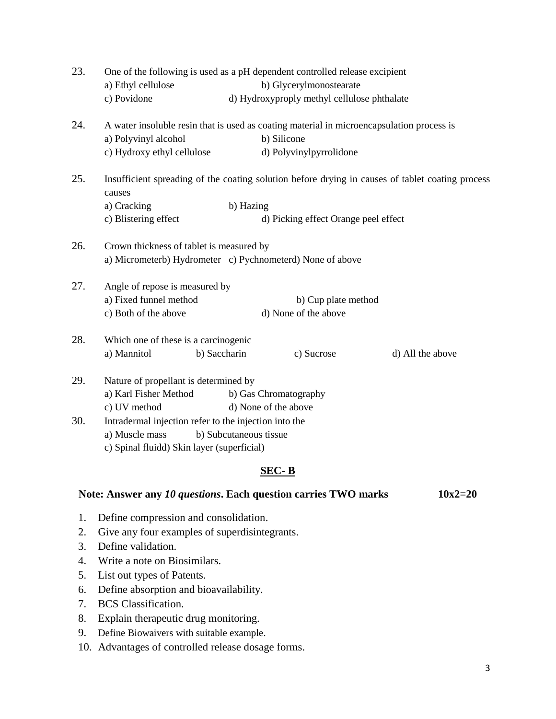| 23.   | One of the following is used as a pH dependent controlled release excipient<br>a) Ethyl cellulose<br>b) Glycerylmonostearate |                                             |                  |  |  |  |
|-------|------------------------------------------------------------------------------------------------------------------------------|---------------------------------------------|------------------|--|--|--|
|       | c) Povidone                                                                                                                  | d) Hydroxyproply methyl cellulose phthalate |                  |  |  |  |
| 24.   | A water insoluble resin that is used as coating material in microencapsulation process is                                    |                                             |                  |  |  |  |
|       | a) Polyvinyl alcohol                                                                                                         | b) Silicone                                 |                  |  |  |  |
|       | c) Hydroxy ethyl cellulose                                                                                                   | d) Polyvinylpyrrolidone                     |                  |  |  |  |
| 25.   | Insufficient spreading of the coating solution before drying in causes of tablet coating process<br>causes                   |                                             |                  |  |  |  |
|       | a) Cracking                                                                                                                  | b) Hazing                                   |                  |  |  |  |
|       | c) Blistering effect                                                                                                         | d) Picking effect Orange peel effect        |                  |  |  |  |
| 26.   | Crown thickness of tablet is measured by<br>a) Micrometerb) Hydrometer c) Pychnometerd) None of above                        |                                             |                  |  |  |  |
| 27.   | Angle of repose is measured by                                                                                               |                                             |                  |  |  |  |
|       | a) Fixed funnel method                                                                                                       | b) Cup plate method                         |                  |  |  |  |
|       | c) Both of the above                                                                                                         | d) None of the above                        |                  |  |  |  |
| 28.   | Which one of these is a carcinogenic                                                                                         |                                             |                  |  |  |  |
|       | a) Mannitol<br>b) Saccharin                                                                                                  | c) Sucrose                                  | d) All the above |  |  |  |
| 29.   | Nature of propellant is determined by                                                                                        |                                             |                  |  |  |  |
|       | a) Karl Fisher Method<br>b) Gas Chromatography                                                                               |                                             |                  |  |  |  |
|       | c) UV method                                                                                                                 | d) None of the above                        |                  |  |  |  |
| 30.   | Intradermal injection refer to the injection into the                                                                        |                                             |                  |  |  |  |
|       | a) Muscle mass<br>b) Subcutaneous tissue                                                                                     |                                             |                  |  |  |  |
|       | c) Spinal fluidd) Skin layer (superficial)                                                                                   |                                             |                  |  |  |  |
| SEC-B |                                                                                                                              |                                             |                  |  |  |  |

#### Note: Answer any 10 questions. Each question carries TWO marks 10x2=20

- 1. Define compression and consolidation.
- 2. Give any four examples of superdisintegrants.
- 3. Define validation.
- 4. Write a note on Biosimilars.
- 5. List out types of Patents.
- 6. Define absorption and bioavailability.
- 7. BCS Classification.
- 8. Explain therapeutic drug monitoring.
- 9. Define Biowaivers with suitable example.
- 10. Advantages of controlled release dosage forms.